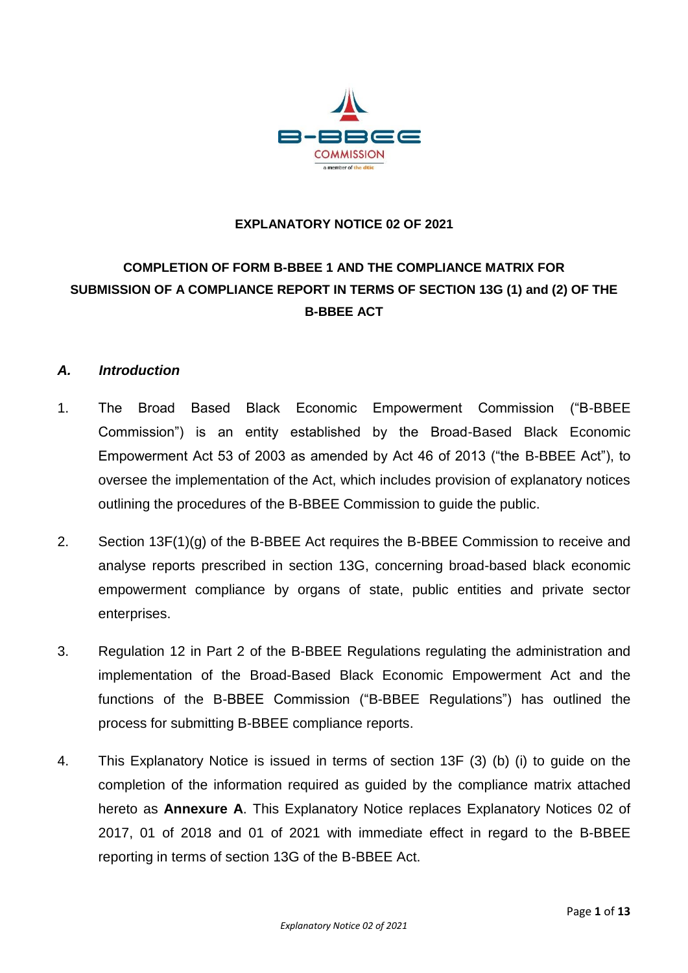

#### **EXPLANATORY NOTICE 02 OF 2021**

# **COMPLETION OF FORM B-BBEE 1 AND THE COMPLIANCE MATRIX FOR SUBMISSION OF A COMPLIANCE REPORT IN TERMS OF SECTION 13G (1) and (2) OF THE B-BBEE ACT**

#### *A. Introduction*

- 1. The Broad Based Black Economic Empowerment Commission ("B-BBEE Commission") is an entity established by the Broad-Based Black Economic Empowerment Act 53 of 2003 as amended by Act 46 of 2013 ("the B-BBEE Act"), to oversee the implementation of the Act, which includes provision of explanatory notices outlining the procedures of the B-BBEE Commission to guide the public.
- 2. Section 13F(1)(g) of the B-BBEE Act requires the B-BBEE Commission to receive and analyse reports prescribed in section 13G, concerning broad-based black economic empowerment compliance by organs of state, public entities and private sector enterprises.
- 3. Regulation 12 in Part 2 of the B-BBEE Regulations regulating the administration and implementation of the Broad-Based Black Economic Empowerment Act and the functions of the B-BBEE Commission ("B-BBEE Regulations") has outlined the process for submitting B-BBEE compliance reports.
- 4. This Explanatory Notice is issued in terms of section 13F (3) (b) (i) to guide on the completion of the information required as guided by the compliance matrix attached hereto as **Annexure A**. This Explanatory Notice replaces Explanatory Notices 02 of 2017, 01 of 2018 and 01 of 2021 with immediate effect in regard to the B-BBEE reporting in terms of section 13G of the B-BBEE Act.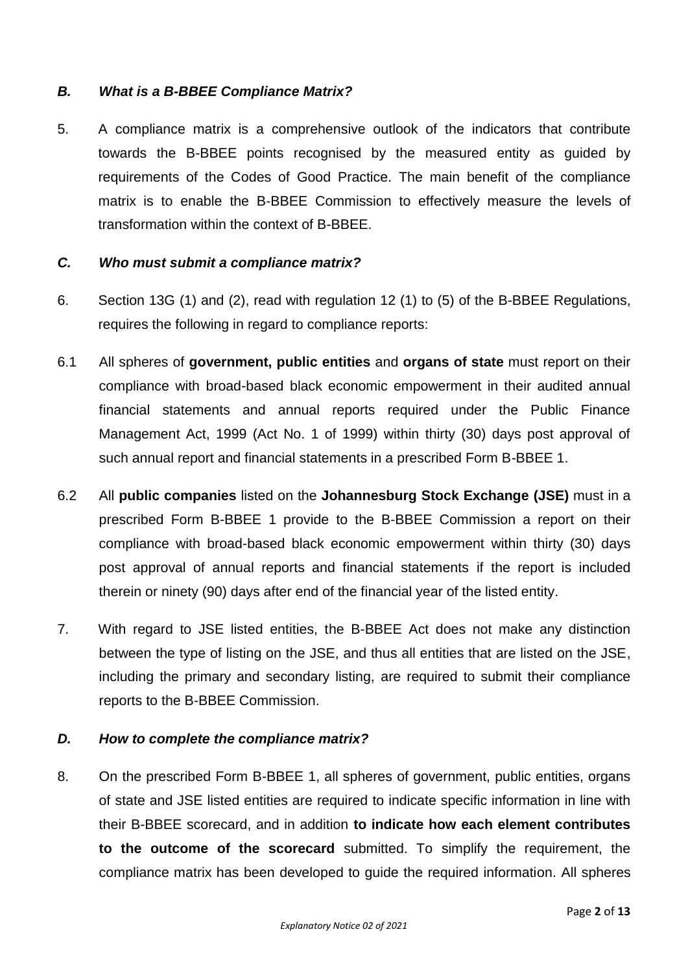### *B. What is a B-BBEE Compliance Matrix?*

5. A compliance matrix is a comprehensive outlook of the indicators that contribute towards the B-BBEE points recognised by the measured entity as guided by requirements of the Codes of Good Practice. The main benefit of the compliance matrix is to enable the B-BBEE Commission to effectively measure the levels of transformation within the context of B-BBEE.

#### *C. Who must submit a compliance matrix?*

- 6. Section 13G (1) and (2), read with regulation 12 (1) to (5) of the B-BBEE Regulations, requires the following in regard to compliance reports:
- 6.1 All spheres of **government, public entities** and **organs of state** must report on their compliance with broad-based black economic empowerment in their audited annual financial statements and annual reports required under the Public Finance Management Act, 1999 (Act No. 1 of 1999) within thirty (30) days post approval of such annual report and financial statements in a prescribed Form B-BBEE 1.
- 6.2 All **public companies** listed on the **Johannesburg Stock Exchange (JSE)** must in a prescribed Form B-BBEE 1 provide to the B-BBEE Commission a report on their compliance with broad-based black economic empowerment within thirty (30) days post approval of annual reports and financial statements if the report is included therein or ninety (90) days after end of the financial year of the listed entity.
- 7. With regard to JSE listed entities, the B-BBEE Act does not make any distinction between the type of listing on the JSE, and thus all entities that are listed on the JSE, including the primary and secondary listing, are required to submit their compliance reports to the B-BBEE Commission.

#### *D. How to complete the compliance matrix?*

8. On the prescribed Form B-BBEE 1, all spheres of government, public entities, organs of state and JSE listed entities are required to indicate specific information in line with their B-BBEE scorecard, and in addition **to indicate how each element contributes to the outcome of the scorecard** submitted. To simplify the requirement, the compliance matrix has been developed to guide the required information. All spheres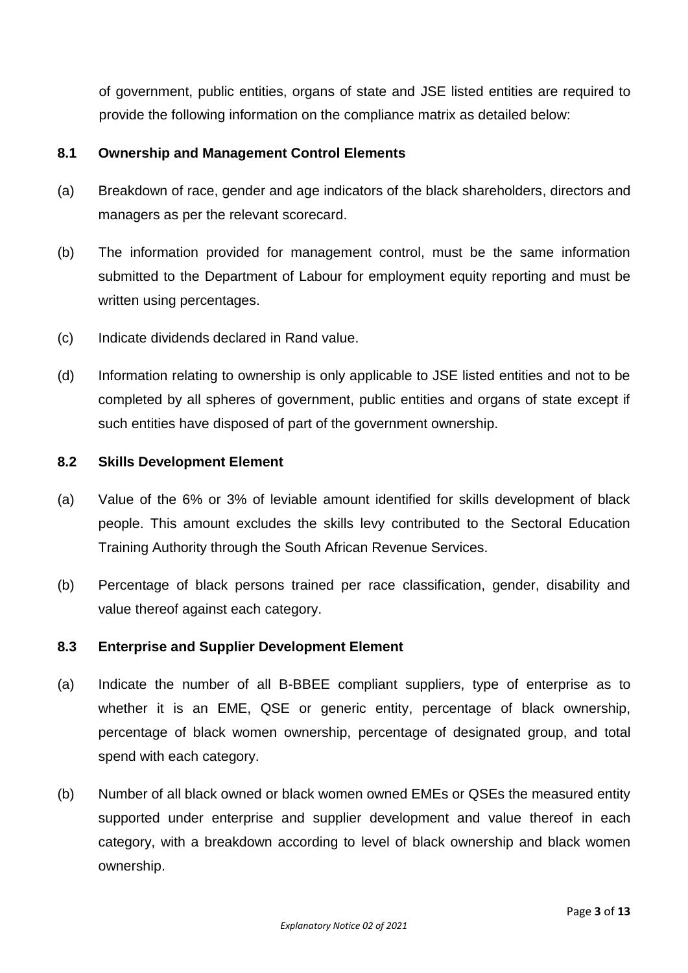of government, public entities, organs of state and JSE listed entities are required to provide the following information on the compliance matrix as detailed below:

#### **8.1 Ownership and Management Control Elements**

- (a) Breakdown of race, gender and age indicators of the black shareholders, directors and managers as per the relevant scorecard.
- (b) The information provided for management control, must be the same information submitted to the Department of Labour for employment equity reporting and must be written using percentages.
- (c) Indicate dividends declared in Rand value.
- (d) Information relating to ownership is only applicable to JSE listed entities and not to be completed by all spheres of government, public entities and organs of state except if such entities have disposed of part of the government ownership.

#### **8.2 Skills Development Element**

- (a) Value of the 6% or 3% of leviable amount identified for skills development of black people. This amount excludes the skills levy contributed to the Sectoral Education Training Authority through the South African Revenue Services.
- (b) Percentage of black persons trained per race classification, gender, disability and value thereof against each category.

#### **8.3 Enterprise and Supplier Development Element**

- (a) Indicate the number of all B-BBEE compliant suppliers, type of enterprise as to whether it is an EME, QSE or generic entity, percentage of black ownership, percentage of black women ownership, percentage of designated group, and total spend with each category.
- (b) Number of all black owned or black women owned EMEs or QSEs the measured entity supported under enterprise and supplier development and value thereof in each category, with a breakdown according to level of black ownership and black women ownership.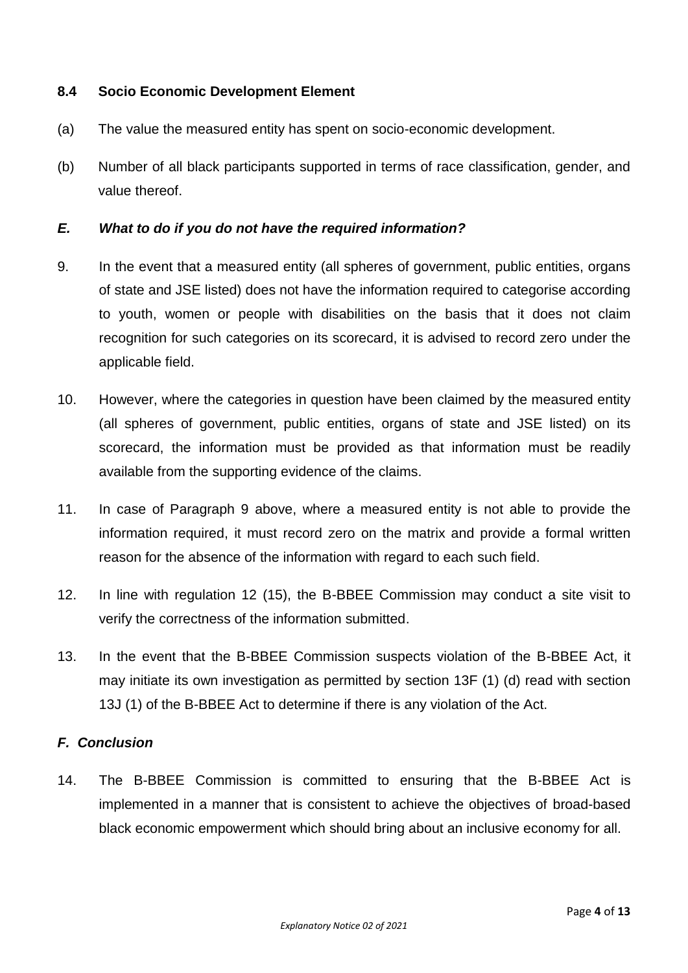### **8.4 Socio Economic Development Element**

- (a) The value the measured entity has spent on socio-economic development.
- (b) Number of all black participants supported in terms of race classification, gender, and value thereof.

#### *E. What to do if you do not have the required information?*

- 9. In the event that a measured entity (all spheres of government, public entities, organs of state and JSE listed) does not have the information required to categorise according to youth, women or people with disabilities on the basis that it does not claim recognition for such categories on its scorecard, it is advised to record zero under the applicable field.
- 10. However, where the categories in question have been claimed by the measured entity (all spheres of government, public entities, organs of state and JSE listed) on its scorecard, the information must be provided as that information must be readily available from the supporting evidence of the claims.
- 11. In case of Paragraph 9 above, where a measured entity is not able to provide the information required, it must record zero on the matrix and provide a formal written reason for the absence of the information with regard to each such field.
- 12. In line with regulation 12 (15), the B-BBEE Commission may conduct a site visit to verify the correctness of the information submitted.
- 13. In the event that the B-BBEE Commission suspects violation of the B-BBEE Act, it may initiate its own investigation as permitted by section 13F (1) (d) read with section 13J (1) of the B-BBEE Act to determine if there is any violation of the Act.

#### *F. Conclusion*

14. The B-BBEE Commission is committed to ensuring that the B-BBEE Act is implemented in a manner that is consistent to achieve the objectives of broad-based black economic empowerment which should bring about an inclusive economy for all.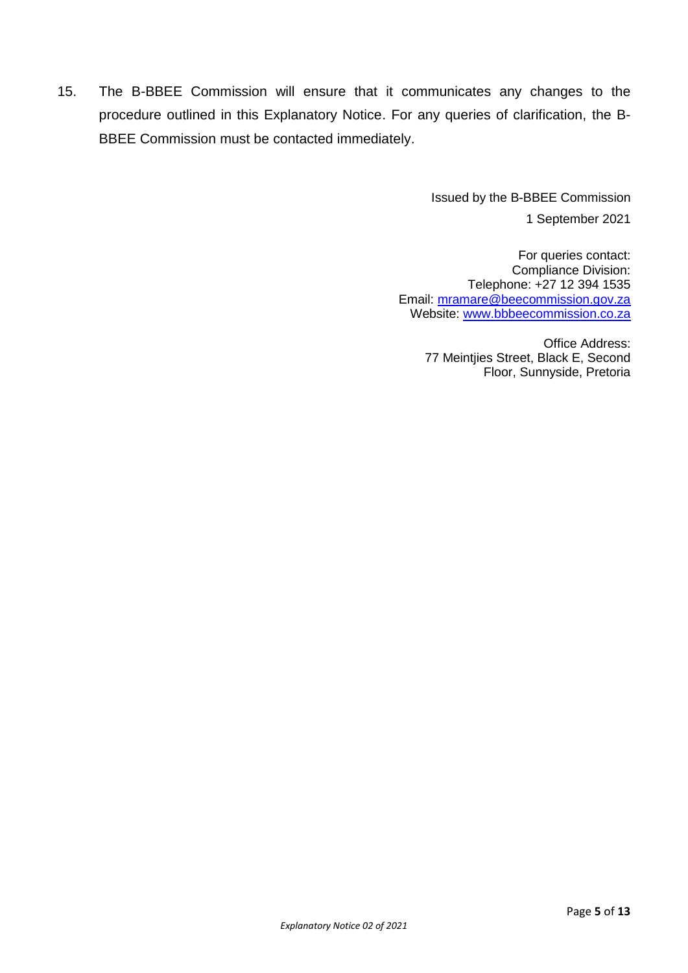15. The B-BBEE Commission will ensure that it communicates any changes to the procedure outlined in this Explanatory Notice. For any queries of clarification, the B-BBEE Commission must be contacted immediately.

> Issued by the B-BBEE Commission 1 September 2021

For queries contact: Compliance Division: Telephone: +27 12 394 1535 Email: [mramare@beecommission.gov.za](mailto:mramare@beecommission.gov.za) Website: [www.bbbeecommission.co.za](http://www.bbbeecommission.co.za/)

> Office Address: 77 Meintjies Street, Black E, Second Floor, Sunnyside, Pretoria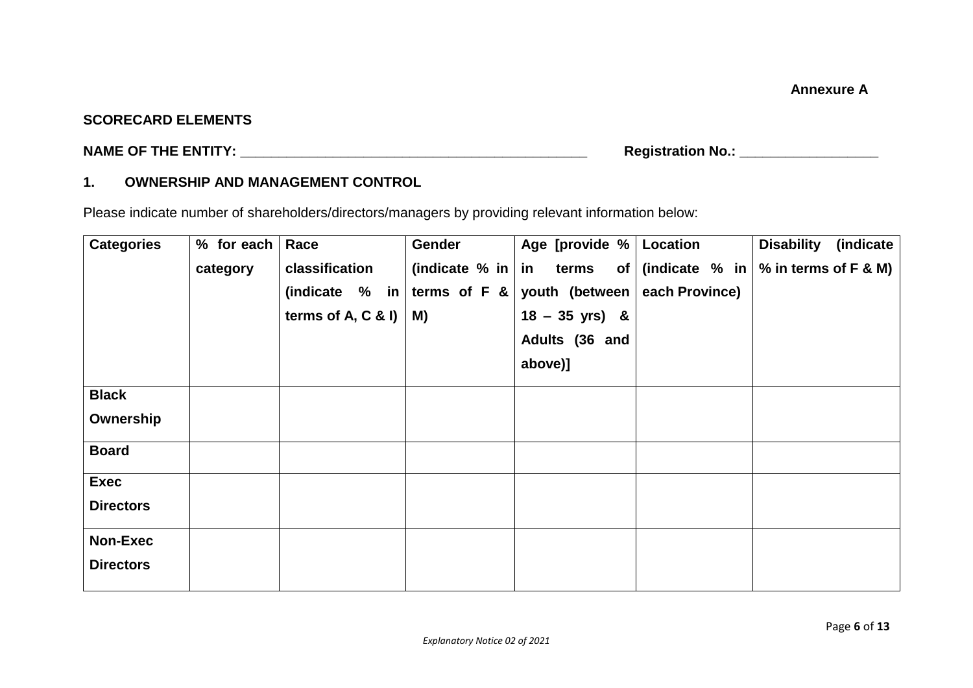### **SCORECARD ELEMENTS**

**NAME OF THE ENTITY: \_\_\_\_\_\_\_\_\_\_\_\_\_\_\_\_\_\_\_\_\_\_\_\_\_\_\_\_\_\_\_\_\_\_\_\_\_\_\_\_\_\_\_\_\_ Registration No.: \_\_\_\_\_\_\_\_\_\_\_\_\_\_\_\_\_\_** 

# **1. OWNERSHIP AND MANAGEMENT CONTROL**

Please indicate number of shareholders/directors/managers by providing relevant information below:

| <b>Categories</b> | % for each $ $ | Race                 | Gender                      | Age [provide %   Location |                | <b>Disability</b><br>(indicate)                 |
|-------------------|----------------|----------------------|-----------------------------|---------------------------|----------------|-------------------------------------------------|
|                   | category       | classification       | (indicate $%$ in   in terms |                           |                | of $ $ (indicate $%$ in $ %$ in terms of F & M) |
|                   |                | (indicate $%$ in     | terms of $F 8$              | youth (between            | each Province) |                                                 |
|                   |                | terms of A, $C$ & I) | M)                          | $18 - 35$ yrs) &          |                |                                                 |
|                   |                |                      |                             | Adults (36 and            |                |                                                 |
|                   |                |                      |                             | above)]                   |                |                                                 |
| <b>Black</b>      |                |                      |                             |                           |                |                                                 |
| Ownership         |                |                      |                             |                           |                |                                                 |
| <b>Board</b>      |                |                      |                             |                           |                |                                                 |
| <b>Exec</b>       |                |                      |                             |                           |                |                                                 |
| <b>Directors</b>  |                |                      |                             |                           |                |                                                 |
| <b>Non-Exec</b>   |                |                      |                             |                           |                |                                                 |
| <b>Directors</b>  |                |                      |                             |                           |                |                                                 |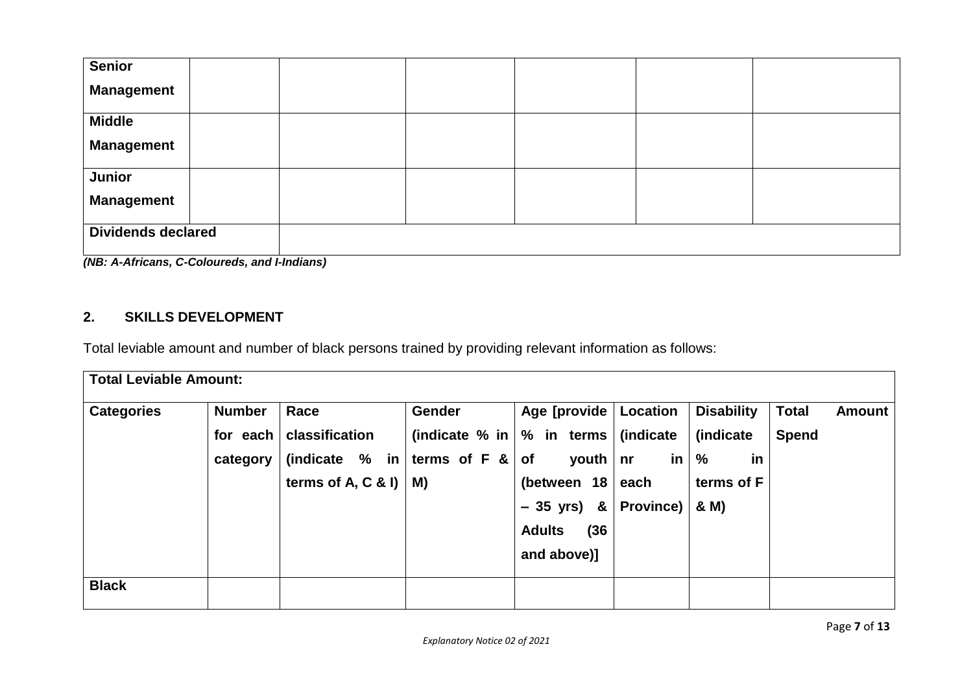| <b>Senior</b>                            |  |  |  |  |  |  |
|------------------------------------------|--|--|--|--|--|--|
| <b>Management</b>                        |  |  |  |  |  |  |
| <b>Middle</b>                            |  |  |  |  |  |  |
| <b>Management</b>                        |  |  |  |  |  |  |
| Junior                                   |  |  |  |  |  |  |
| <b>Management</b>                        |  |  |  |  |  |  |
| <b>Dividends declared</b>                |  |  |  |  |  |  |
| (MD, A Africano O Oslovnada and Undiana) |  |  |  |  |  |  |

*(NB: A-Africans, C-Coloureds, and I-Indians)*

# **2. SKILLS DEVELOPMENT**

Total leviable amount and number of black persons trained by providing relevant information as follows:

| <b>Total Leviable Amount:</b> |               |                            |                                               |                         |                  |                     |              |               |
|-------------------------------|---------------|----------------------------|-----------------------------------------------|-------------------------|------------------|---------------------|--------------|---------------|
| <b>Categories</b>             | <b>Number</b> | Race                       | <b>Gender</b>                                 | Age [provide   Location |                  | <b>Disability</b>   | <b>Total</b> | <b>Amount</b> |
|                               | for each      | classification             | (indicate % in $\sqrt{ }$ in terms $\sqrt{ }$ |                         | (indicate        | (indicate           | <b>Spend</b> |               |
|                               | category      | (indicate $%$ in           | terms of $F &  $ of                           | youth $ $ nr            | in               | $\frac{9}{6}$<br>in |              |               |
|                               |               | terms of A, C & I) $\vert$ | M)                                            | (between $18 \mid$ each |                  | terms of F          |              |               |
|                               |               |                            |                                               | $-35$ yrs) &            | <b>Province)</b> | & M)                |              |               |
|                               |               |                            |                                               | <b>Adults</b><br>(36)   |                  |                     |              |               |
|                               |               |                            |                                               | and above)]             |                  |                     |              |               |
| <b>Black</b>                  |               |                            |                                               |                         |                  |                     |              |               |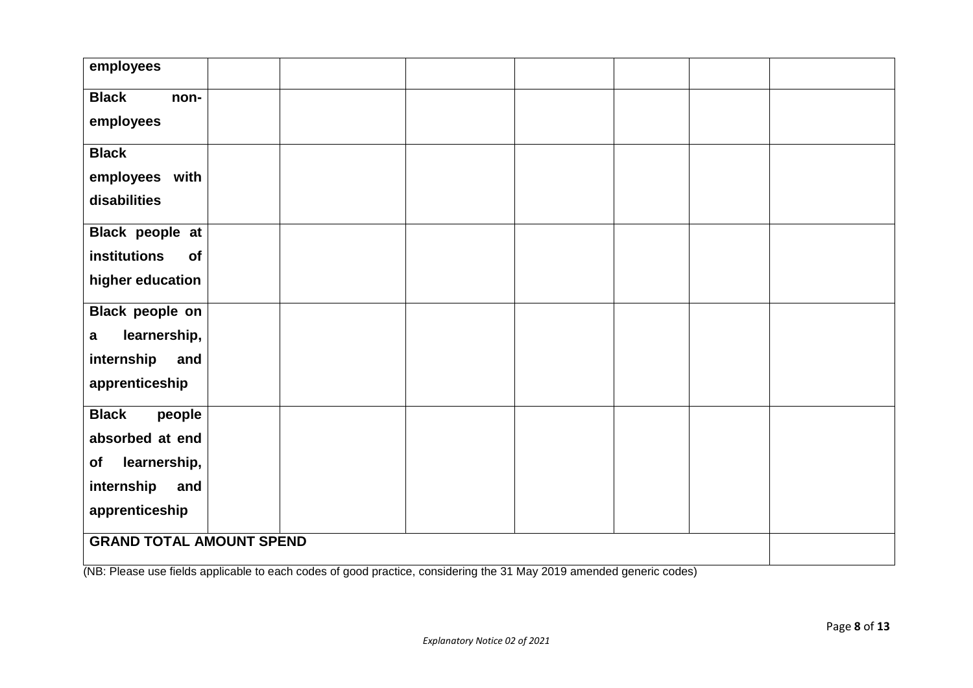| employees                       |  |  |  |  |  |  |  |
|---------------------------------|--|--|--|--|--|--|--|
|                                 |  |  |  |  |  |  |  |
| <b>Black</b><br>non-            |  |  |  |  |  |  |  |
| employees                       |  |  |  |  |  |  |  |
| <b>Black</b>                    |  |  |  |  |  |  |  |
| employees with                  |  |  |  |  |  |  |  |
| disabilities                    |  |  |  |  |  |  |  |
| Black people at                 |  |  |  |  |  |  |  |
| institutions<br>of              |  |  |  |  |  |  |  |
| higher education                |  |  |  |  |  |  |  |
| <b>Black people on</b>          |  |  |  |  |  |  |  |
| learnership,<br>$\mathbf a$     |  |  |  |  |  |  |  |
| internship<br>and               |  |  |  |  |  |  |  |
| apprenticeship                  |  |  |  |  |  |  |  |
| <b>Black</b><br>people          |  |  |  |  |  |  |  |
| absorbed at end                 |  |  |  |  |  |  |  |
| learnership,<br>of              |  |  |  |  |  |  |  |
| internship<br>and               |  |  |  |  |  |  |  |
| apprenticeship                  |  |  |  |  |  |  |  |
| <b>GRAND TOTAL AMOUNT SPEND</b> |  |  |  |  |  |  |  |

(NB: Please use fields applicable to each codes of good practice, considering the 31 May 2019 amended generic codes)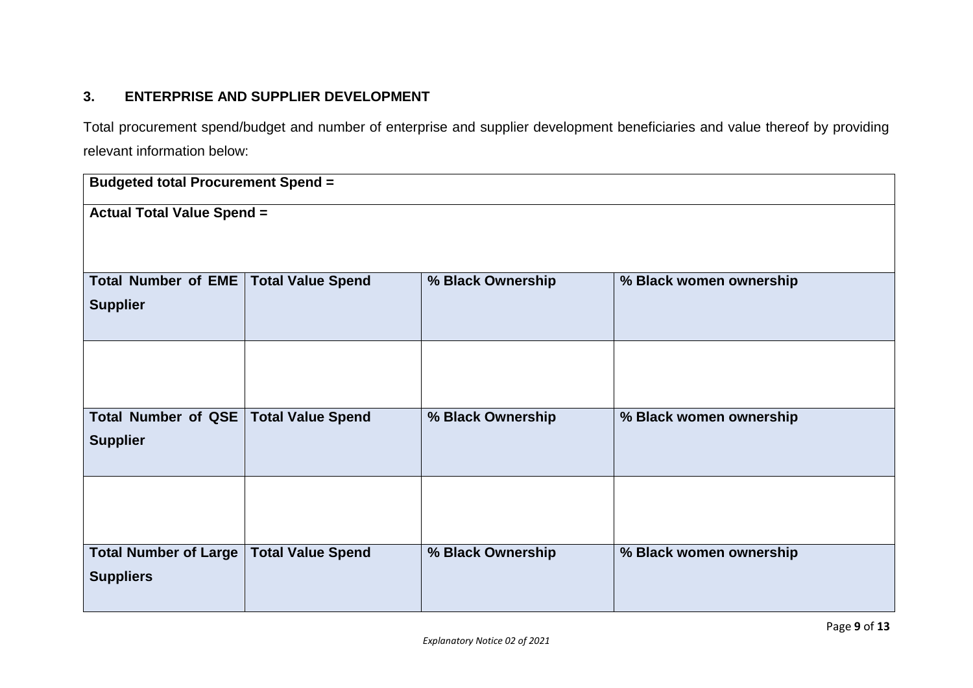# **3. ENTERPRISE AND SUPPLIER DEVELOPMENT**

Total procurement spend/budget and number of enterprise and supplier development beneficiaries and value thereof by providing relevant information below:

| <b>Budgeted total Procurement Spend =</b> |                          |                   |                         |  |  |  |
|-------------------------------------------|--------------------------|-------------------|-------------------------|--|--|--|
| <b>Actual Total Value Spend =</b>         |                          |                   |                         |  |  |  |
|                                           |                          |                   |                         |  |  |  |
|                                           |                          |                   |                         |  |  |  |
| <b>Total Number of EME</b>                | <b>Total Value Spend</b> | % Black Ownership | % Black women ownership |  |  |  |
| <b>Supplier</b>                           |                          |                   |                         |  |  |  |
|                                           |                          |                   |                         |  |  |  |
|                                           |                          |                   |                         |  |  |  |
|                                           |                          |                   |                         |  |  |  |
|                                           |                          |                   |                         |  |  |  |
| Total Number of QSE                       | <b>Total Value Spend</b> | % Black Ownership | % Black women ownership |  |  |  |
| <b>Supplier</b>                           |                          |                   |                         |  |  |  |
|                                           |                          |                   |                         |  |  |  |
|                                           |                          |                   |                         |  |  |  |
|                                           |                          |                   |                         |  |  |  |
|                                           |                          |                   |                         |  |  |  |
| <b>Total Number of Large</b>              | <b>Total Value Spend</b> | % Black Ownership | % Black women ownership |  |  |  |
| <b>Suppliers</b>                          |                          |                   |                         |  |  |  |
|                                           |                          |                   |                         |  |  |  |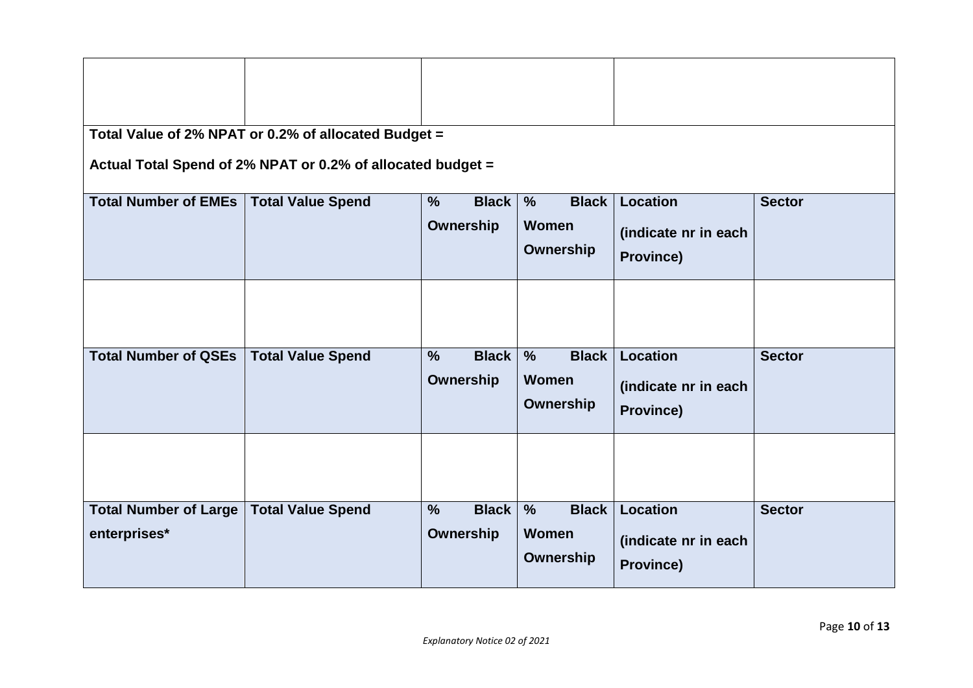| Total Value of 2% NPAT or 0.2% of allocated Budget =<br>Actual Total Spend of 2% NPAT or 0.2% of allocated budget = |                          |                                            |                                                            |                                                             |               |  |  |
|---------------------------------------------------------------------------------------------------------------------|--------------------------|--------------------------------------------|------------------------------------------------------------|-------------------------------------------------------------|---------------|--|--|
| <b>Total Number of EMEs</b>                                                                                         | <b>Total Value Spend</b> | $\frac{9}{6}$<br><b>Black</b><br>Ownership | <b>Black</b><br>$\%$<br><b>Women</b><br>Ownership          | <b>Location</b><br>(indicate nr in each<br><b>Province)</b> | <b>Sector</b> |  |  |
| <b>Total Number of QSEs</b>                                                                                         | <b>Total Value Spend</b> | <b>Black</b><br>$\frac{9}{6}$<br>Ownership | <b>Black</b><br>$\frac{9}{6}$<br><b>Women</b><br>Ownership | <b>Location</b><br>(indicate nr in each<br><b>Province)</b> | <b>Sector</b> |  |  |
| <b>Total Number of Large</b><br>enterprises*                                                                        | <b>Total Value Spend</b> | $\frac{0}{0}$<br><b>Black</b><br>Ownership | <b>Black</b><br>$\frac{9}{6}$<br>Women<br>Ownership        | Location<br>(indicate nr in each<br>Province)               | <b>Sector</b> |  |  |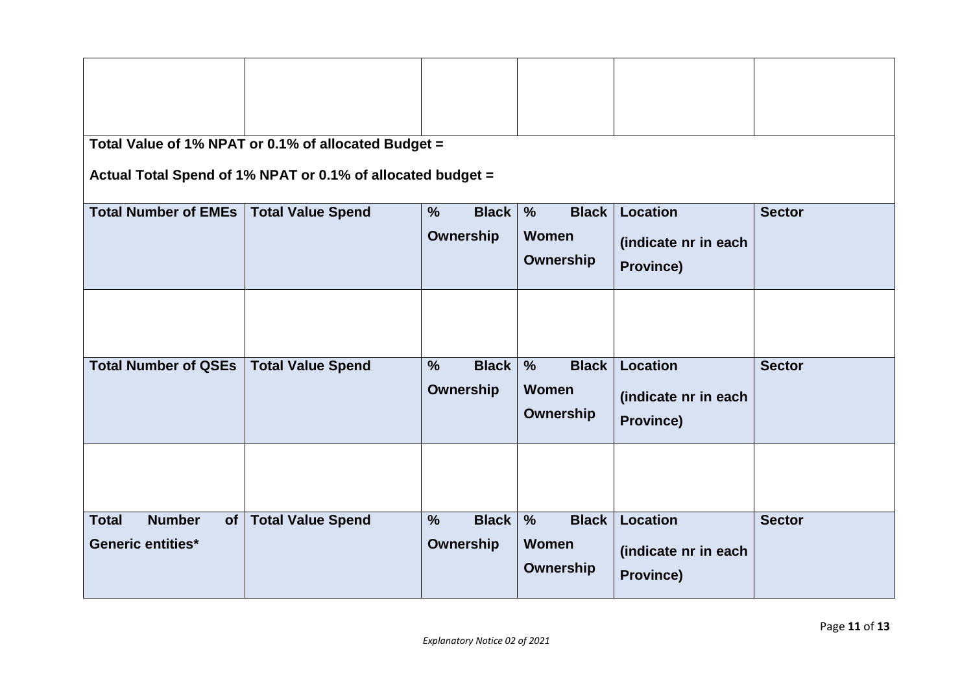| Total Value of 1% NPAT or 0.1% of allocated Budget = |                                                             |                               |                                      |                      |               |  |  |
|------------------------------------------------------|-------------------------------------------------------------|-------------------------------|--------------------------------------|----------------------|---------------|--|--|
|                                                      | Actual Total Spend of 1% NPAT or 0.1% of allocated budget = |                               |                                      |                      |               |  |  |
| <b>Total Number of EMEs</b>                          | <b>Total Value Spend</b>                                    | <b>Black</b><br>$\%$          | <b>Black</b><br>$\frac{9}{6}$        | Location             | <b>Sector</b> |  |  |
|                                                      |                                                             | <b>Ownership</b>              | Women                                | (indicate nr in each |               |  |  |
|                                                      |                                                             |                               | Ownership                            |                      |               |  |  |
|                                                      |                                                             |                               |                                      | <b>Province)</b>     |               |  |  |
|                                                      |                                                             |                               |                                      |                      |               |  |  |
|                                                      |                                                             |                               |                                      |                      |               |  |  |
|                                                      |                                                             |                               |                                      |                      |               |  |  |
| <b>Total Number of QSEs</b>                          | <b>Total Value Spend</b>                                    | <b>Black</b><br>$\frac{9}{6}$ | <b>Black</b><br>$\frac{1}{\sqrt{2}}$ | <b>Location</b>      | <b>Sector</b> |  |  |
|                                                      |                                                             | Ownership                     | Women                                | (indicate nr in each |               |  |  |
|                                                      |                                                             |                               | Ownership                            | Province)            |               |  |  |
|                                                      |                                                             |                               |                                      |                      |               |  |  |
|                                                      |                                                             |                               |                                      |                      |               |  |  |
|                                                      |                                                             |                               |                                      |                      |               |  |  |
|                                                      |                                                             |                               |                                      |                      |               |  |  |
| <b>Number</b><br><b>Total</b><br>of                  | <b>Total Value Spend</b>                                    | $\frac{9}{6}$<br><b>Black</b> | <b>Black</b><br>$\frac{0}{0}$        | Location             | <b>Sector</b> |  |  |
| <b>Generic entities*</b>                             |                                                             | Ownership                     | Women                                | (indicate nr in each |               |  |  |
|                                                      |                                                             |                               | Ownership                            | <b>Province)</b>     |               |  |  |
|                                                      |                                                             |                               |                                      |                      |               |  |  |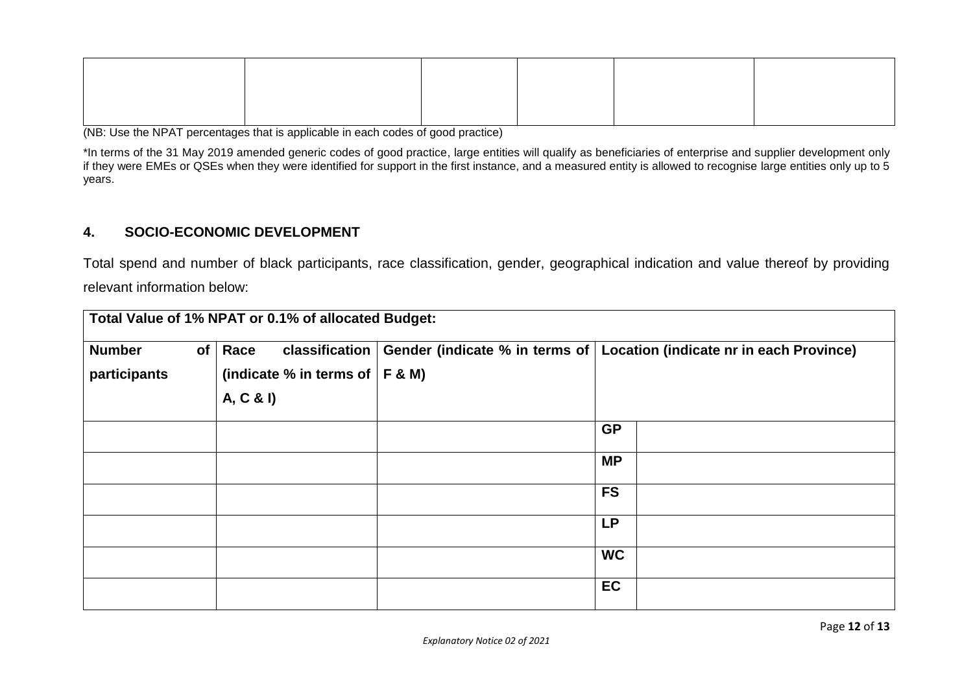(NB: Use the NPAT percentages that is applicable in each codes of good practice)

\*In terms of the 31 May 2019 amended generic codes of good practice, large entities will qualify as beneficiaries of enterprise and supplier development only if they were EMEs or QSEs when they were identified for support in the first instance, and a measured entity is allowed to recognise large entities only up to 5 years.

### **4. SOCIO-ECONOMIC DEVELOPMENT**

Total spend and number of black participants, race classification, gender, geographical indication and value thereof by providing relevant information below:

| Total Value of 1% NPAT or 0.1% of allocated Budget: |                 |           |                                     |  |           |                                                                                                       |  |
|-----------------------------------------------------|-----------------|-----------|-------------------------------------|--|-----------|-------------------------------------------------------------------------------------------------------|--|
| <b>Number</b>                                       | of <sub>l</sub> | Race      |                                     |  |           | classification $\vert$ Gender (indicate % in terms of $\vert$ Location (indicate nr in each Province) |  |
| participants                                        |                 |           | (indicate % in terms of $ F \& M$ ) |  |           |                                                                                                       |  |
|                                                     |                 | A, C & I) |                                     |  |           |                                                                                                       |  |
|                                                     |                 |           |                                     |  | <b>GP</b> |                                                                                                       |  |
|                                                     |                 |           |                                     |  | <b>MP</b> |                                                                                                       |  |
|                                                     |                 |           |                                     |  | <b>FS</b> |                                                                                                       |  |
|                                                     |                 |           |                                     |  | <b>LP</b> |                                                                                                       |  |
|                                                     |                 |           |                                     |  | <b>WC</b> |                                                                                                       |  |
|                                                     |                 |           |                                     |  | <b>EC</b> |                                                                                                       |  |